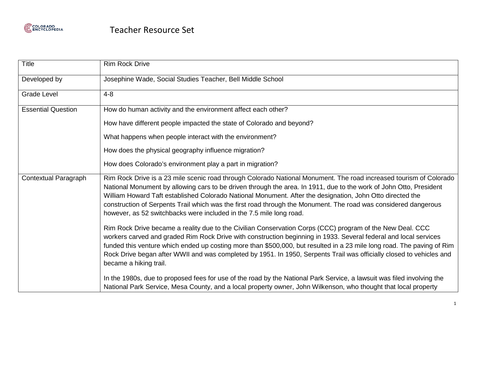

| Title                       | <b>Rim Rock Drive</b>                                                                                                                                                                                                                                                                                                                                                                                                                                                                                                                           |
|-----------------------------|-------------------------------------------------------------------------------------------------------------------------------------------------------------------------------------------------------------------------------------------------------------------------------------------------------------------------------------------------------------------------------------------------------------------------------------------------------------------------------------------------------------------------------------------------|
| Developed by                | Josephine Wade, Social Studies Teacher, Bell Middle School                                                                                                                                                                                                                                                                                                                                                                                                                                                                                      |
| <b>Grade Level</b>          | $4 - 8$                                                                                                                                                                                                                                                                                                                                                                                                                                                                                                                                         |
| <b>Essential Question</b>   | How do human activity and the environment affect each other?                                                                                                                                                                                                                                                                                                                                                                                                                                                                                    |
|                             | How have different people impacted the state of Colorado and beyond?                                                                                                                                                                                                                                                                                                                                                                                                                                                                            |
|                             | What happens when people interact with the environment?                                                                                                                                                                                                                                                                                                                                                                                                                                                                                         |
|                             | How does the physical geography influence migration?                                                                                                                                                                                                                                                                                                                                                                                                                                                                                            |
|                             | How does Colorado's environment play a part in migration?                                                                                                                                                                                                                                                                                                                                                                                                                                                                                       |
| <b>Contextual Paragraph</b> | Rim Rock Drive is a 23 mile scenic road through Colorado National Monument. The road increased tourism of Colorado<br>National Monument by allowing cars to be driven through the area. In 1911, due to the work of John Otto, President<br>William Howard Taft established Colorado National Monument. After the designation, John Otto directed the<br>construction of Serpents Trail which was the first road through the Monument. The road was considered dangerous<br>however, as 52 switchbacks were included in the 7.5 mile long road. |
|                             | Rim Rock Drive became a reality due to the Civilian Conservation Corps (CCC) program of the New Deal. CCC<br>workers carved and graded Rim Rock Drive with construction beginning in 1933. Several federal and local services<br>funded this venture which ended up costing more than \$500,000, but resulted in a 23 mile long road. The paving of Rim<br>Rock Drive began after WWII and was completed by 1951. In 1950, Serpents Trail was officially closed to vehicles and<br>became a hiking trail.                                       |
|                             | In the 1980s, due to proposed fees for use of the road by the National Park Service, a lawsuit was filed involving the<br>National Park Service, Mesa County, and a local property owner, John Wilkenson, who thought that local property                                                                                                                                                                                                                                                                                                       |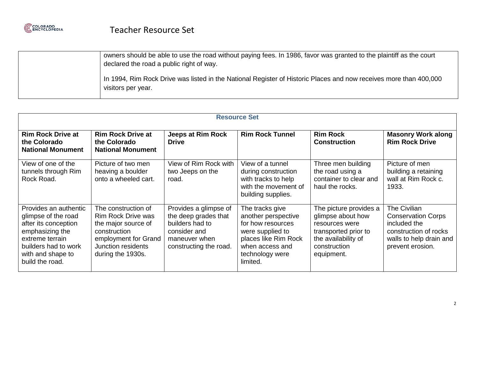

| owners should be able to use the road without paying fees. In 1986, favor was granted to the plaintiff as the court<br>declared the road a public right of way. |
|-----------------------------------------------------------------------------------------------------------------------------------------------------------------|
| In 1994, Rim Rock Drive was listed in the National Register of Historic Places and now receives more than 400,000<br>visitors per year.                         |

| <b>Resource Set</b>                                                                                                                                                        |                                                                                                                                                            |                                                                                                                             |                                                                                                                                                           |                                                                                                                                            |                                                                                                                                   |
|----------------------------------------------------------------------------------------------------------------------------------------------------------------------------|------------------------------------------------------------------------------------------------------------------------------------------------------------|-----------------------------------------------------------------------------------------------------------------------------|-----------------------------------------------------------------------------------------------------------------------------------------------------------|--------------------------------------------------------------------------------------------------------------------------------------------|-----------------------------------------------------------------------------------------------------------------------------------|
| <b>Rim Rock Drive at</b><br>the Colorado<br><b>National Monument</b>                                                                                                       | <b>Rim Rock Drive at</b><br>the Colorado<br><b>National Monument</b>                                                                                       | Jeeps at Rim Rock<br><b>Drive</b>                                                                                           | <b>Rim Rock Tunnel</b>                                                                                                                                    | <b>Rim Rock</b><br><b>Construction</b>                                                                                                     | <b>Masonry Work along</b><br><b>Rim Rock Drive</b>                                                                                |
| View of one of the<br>tunnels through Rim<br>Rock Road.                                                                                                                    | Picture of two men<br>heaving a boulder<br>onto a wheeled cart.                                                                                            | View of Rim Rock with<br>two Jeeps on the<br>road.                                                                          | View of a tunnel<br>during construction<br>with tracks to help<br>with the movement of<br>building supplies.                                              | Three men building<br>the road using a<br>container to clear and<br>haul the rocks.                                                        | Picture of men<br>building a retaining<br>wall at Rim Rock c.<br>1933.                                                            |
| Provides an authentic<br>glimpse of the road<br>after its conception<br>emphasizing the<br>extreme terrain<br>builders had to work<br>with and shape to<br>build the road. | The construction of<br><b>Rim Rock Drive was</b><br>the major source of<br>construction<br>employment for Grand<br>Junction residents<br>during the 1930s. | Provides a glimpse of<br>the deep grades that<br>builders had to<br>consider and<br>maneuver when<br>constructing the road. | The tracks give<br>another perspective<br>for how resources<br>were supplied to<br>places like Rim Rock<br>when access and<br>technology were<br>limited. | The picture provides a<br>glimpse about how<br>resources were<br>transported prior to<br>the availability of<br>construction<br>equipment. | The Civilian<br><b>Conservation Corps</b><br>included the<br>construction of rocks<br>walls to help drain and<br>prevent erosion. |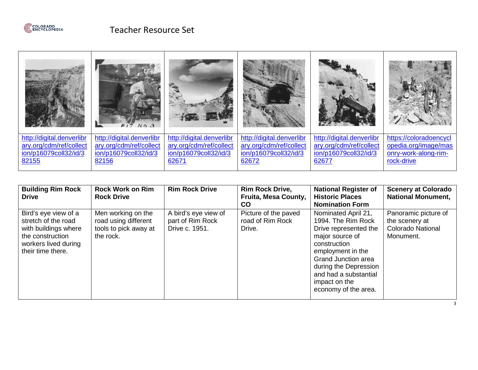

|                           | PITNO.3                   |                           |                           |                           |                        |
|---------------------------|---------------------------|---------------------------|---------------------------|---------------------------|------------------------|
| http://digital.denverlibr | http://digital.denverlibr | http://digital.denverlibr | http://digital.denverlibr | http://digital.denverlibr | https://coloradoencycl |
| ary.org/cdm/ref/collect   | ary.org/cdm/ref/collect   | ary.org/cdm/ref/collect   | ary.org/cdm/ref/collect   | ary.org/cdm/ref/collect   | opedia.org/image/mas   |
| ion/p16079coll32/id/3     | ion/p16079coll32/id/3     | ion/p16079coll32/id/3     | ion/p16079coll32/id/3     | ion/p16079coll32/id/3     | onry-work-along-rim-   |
| 82155                     | 82156                     | 62671                     | 62672                     | 62677                     | rock-drive             |

| <b>Building Rim Rock</b><br><b>Drive</b>                                                                                             | <b>Rock Work on Rim</b><br><b>Rock Drive</b>                                     | <b>Rim Rock Drive</b>                                      | <b>Rim Rock Drive,</b><br>Fruita, Mesa County,<br>$\mathsf{co}$ | <b>National Register of</b><br><b>Historic Places</b><br><b>Nomination Form</b>                                                                                                                                                                     | <b>Scenery at Colorado</b><br><b>National Monument,</b>                         |
|--------------------------------------------------------------------------------------------------------------------------------------|----------------------------------------------------------------------------------|------------------------------------------------------------|-----------------------------------------------------------------|-----------------------------------------------------------------------------------------------------------------------------------------------------------------------------------------------------------------------------------------------------|---------------------------------------------------------------------------------|
| Bird's eye view of a<br>stretch of the road<br>with buildings where<br>the construction<br>workers lived during<br>their time there. | Men working on the<br>road using different<br>tools to pick away at<br>the rock. | A bird's eye view of<br>part of Rim Rock<br>Drive c. 1951. | Picture of the paved<br>road of Rim Rock<br>Drive.              | Nominated April 21,<br>1994. The Rim Rock<br>Drive represented the<br>major source of<br>construction<br>employment in the<br><b>Grand Junction area</b><br>during the Depression<br>and had a substantial<br>impact on the<br>economy of the area. | Panoramic picture of<br>the scenery at<br><b>Colorado National</b><br>Monument. |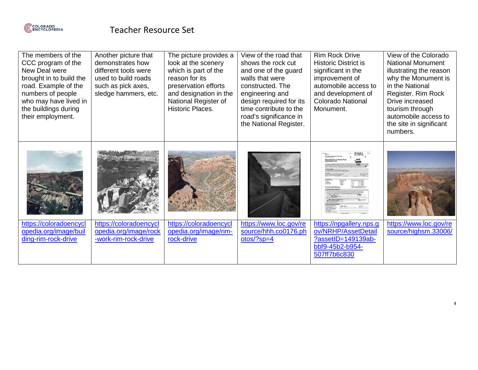

| The members of the<br>CCC program of the<br>New Deal were<br>brought in to build the<br>road. Example of the<br>numbers of people<br>who may have lived in<br>the buildings during<br>their employment. | Another picture that<br>demonstrates how<br>different tools were<br>used to build roads<br>such as pick axes,<br>sledge hammers, etc. | The picture provides a<br>look at the scenery<br>which is part of the<br>reason for its<br>preservation efforts<br>and designation in the<br>National Register of<br>Historic Places. | View of the road that<br>shows the rock cut<br>and one of the guard<br>walls that were<br>constructed. The<br>engineering and<br>design required for its<br>time contribute to the<br>road's significance in<br>the National Register. | <b>Rim Rock Drive</b><br><b>Historic District is</b><br>significant in the<br>improvement of<br>automobile access to<br>and development of<br><b>Colorado National</b><br>Monument. | View of the Colorado<br><b>National Monument</b><br>illustrating the reason<br>why the Monument is<br>in the National<br>Register. Rim Rock<br>Drive increased<br>tourism through<br>automobile access to<br>the site in significant<br>numbers. |
|---------------------------------------------------------------------------------------------------------------------------------------------------------------------------------------------------------|---------------------------------------------------------------------------------------------------------------------------------------|---------------------------------------------------------------------------------------------------------------------------------------------------------------------------------------|----------------------------------------------------------------------------------------------------------------------------------------------------------------------------------------------------------------------------------------|-------------------------------------------------------------------------------------------------------------------------------------------------------------------------------------|--------------------------------------------------------------------------------------------------------------------------------------------------------------------------------------------------------------------------------------------------|
| https://coloradoencycl                                                                                                                                                                                  | https://coloradoencycl                                                                                                                | https://coloradoencycl                                                                                                                                                                | https://www.loc.gov/re                                                                                                                                                                                                                 | https://npgallery.nps.g                                                                                                                                                             | https://www.loc.gov/re                                                                                                                                                                                                                           |
| opedia.org/image/buil<br>ding-rim-rock-drive                                                                                                                                                            | opedia.org/image/rock<br>-work-rim-rock-drive                                                                                         | opedia.org/image/rim-<br>rock-drive                                                                                                                                                   | source/hhh.co0176.ph<br>$otos$ ?sp=4                                                                                                                                                                                                   | ov/NRHP/AssetDetail<br>?assetID=149139ab-<br>bbf9-45b2-b954-<br>507ff7b6c830                                                                                                        | source/highsm.33006/                                                                                                                                                                                                                             |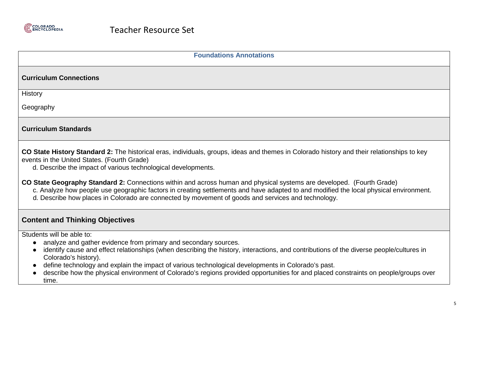

| <b>Foundations Annotations</b>                                                                                                                                                                                                                                                                                                                                                                                                                                                                                        |
|-----------------------------------------------------------------------------------------------------------------------------------------------------------------------------------------------------------------------------------------------------------------------------------------------------------------------------------------------------------------------------------------------------------------------------------------------------------------------------------------------------------------------|
| <b>Curriculum Connections</b>                                                                                                                                                                                                                                                                                                                                                                                                                                                                                         |
| History                                                                                                                                                                                                                                                                                                                                                                                                                                                                                                               |
| Geography                                                                                                                                                                                                                                                                                                                                                                                                                                                                                                             |
| <b>Curriculum Standards</b>                                                                                                                                                                                                                                                                                                                                                                                                                                                                                           |
| CO State History Standard 2: The historical eras, individuals, groups, ideas and themes in Colorado history and their relationships to key<br>events in the United States. (Fourth Grade)<br>d. Describe the impact of various technological developments.                                                                                                                                                                                                                                                            |
| CO State Geography Standard 2: Connections within and across human and physical systems are developed. (Fourth Grade)<br>c. Analyze how people use geographic factors in creating settlements and have adapted to and modified the local physical environment.<br>d. Describe how places in Colorado are connected by movement of goods and services and technology.                                                                                                                                                  |
| <b>Content and Thinking Objectives</b>                                                                                                                                                                                                                                                                                                                                                                                                                                                                                |
| Students will be able to:<br>analyze and gather evidence from primary and secondary sources.<br>identify cause and effect relationships (when describing the history, interactions, and contributions of the diverse people/cultures in<br>Colorado's history).<br>define technology and explain the impact of various technological developments in Colorado's past.<br>describe how the physical environment of Colorado's regions provided opportunities for and placed constraints on people/groups over<br>time. |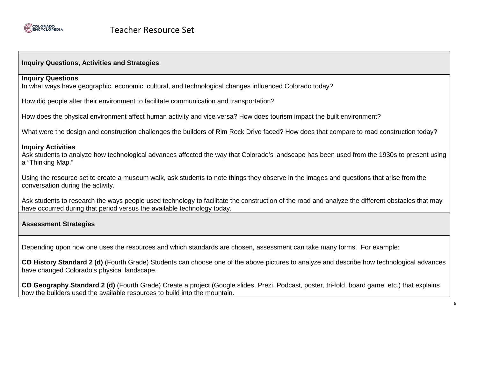

## **Inquiry Questions, Activities and Strategies**

#### **Inquiry Questions**

In what ways have geographic, economic, cultural, and technological changes influenced Colorado today?

How did people alter their environment to facilitate communication and transportation?

How does the physical environment affect human activity and vice versa? How does tourism impact the built environment?

What were the design and construction challenges the builders of Rim Rock Drive faced? How does that compare to road construction today?

#### **Inquiry Activities**

Ask students to analyze how technological advances affected the way that Colorado's landscape has been used from the 1930s to present using a "Thinking Map."

Using the resource set to create a museum walk, ask students to note things they observe in the images and questions that arise from the conversation during the activity.

Ask students to research the ways people used technology to facilitate the construction of the road and analyze the different obstacles that may have occurred during that period versus the available technology today.

### **Assessment Strategies**

Depending upon how one uses the resources and which standards are chosen, assessment can take many forms. For example:

**CO History Standard 2 (d)** (Fourth Grade) Students can choose one of the above pictures to analyze and describe how technological advances have changed Colorado's physical landscape.

**CO Geography Standard 2 (d)** (Fourth Grade) Create a project (Google slides, Prezi, Podcast, poster, tri-fold, board game, etc.) that explains how the builders used the available resources to build into the mountain.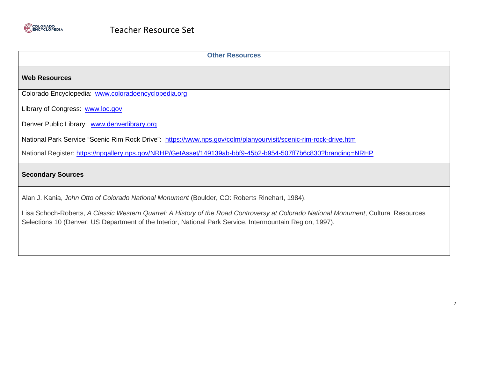

| <b>Other Resources</b>                                                                                                                                                                                                                           |  |  |  |  |
|--------------------------------------------------------------------------------------------------------------------------------------------------------------------------------------------------------------------------------------------------|--|--|--|--|
| <b>Web Resources</b>                                                                                                                                                                                                                             |  |  |  |  |
| Colorado Encyclopedia: www.coloradoencyclopedia.org                                                                                                                                                                                              |  |  |  |  |
| Library of Congress: www.loc.gov                                                                                                                                                                                                                 |  |  |  |  |
| Denver Public Library: www.denverlibrary.org                                                                                                                                                                                                     |  |  |  |  |
| National Park Service "Scenic Rim Rock Drive": https://www.nps.gov/colm/planyourvisit/scenic-rim-rock-drive.htm                                                                                                                                  |  |  |  |  |
| National Register: https://npgallery.nps.gov/NRHP/GetAsset/149139ab-bbf9-45b2-b954-507ff7b6c830?branding=NRHP                                                                                                                                    |  |  |  |  |
| <b>Secondary Sources</b>                                                                                                                                                                                                                         |  |  |  |  |
| Alan J. Kania, John Otto of Colorado National Monument (Boulder, CO: Roberts Rinehart, 1984).                                                                                                                                                    |  |  |  |  |
| Lisa Schoch-Roberts, A Classic Western Quarrel: A History of the Road Controversy at Colorado National Monument, Cultural Resources<br>Selections 10 (Denver: US Department of the Interior, National Park Service, Intermountain Region, 1997). |  |  |  |  |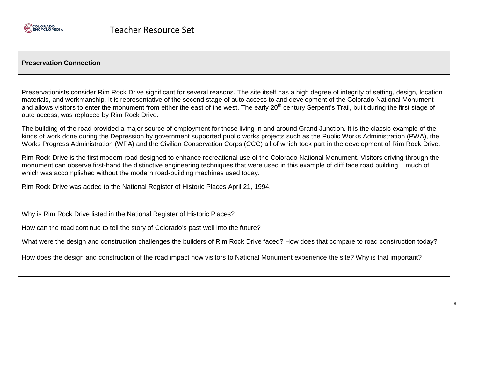

## **Preservation Connection**

Preservationists consider Rim Rock Drive significant for several reasons. The site itself has a high degree of integrity of setting, design, location materials, and workmanship. It is representative of the second stage of auto access to and development of the Colorado National Monument and allows visitors to enter the monument from either the east of the west. The early 20<sup>th</sup> century Serpent's Trail, built during the first stage of auto access, was replaced by Rim Rock Drive.

The building of the road provided a major source of employment for those living in and around Grand Junction. It is the classic example of the kinds of work done during the Depression by government supported public works projects such as the Public Works Administration (PWA), the Works Progress Administration (WPA) and the Civilian Conservation Corps (CCC) all of which took part in the development of Rim Rock Drive.

Rim Rock Drive is the first modern road designed to enhance recreational use of the Colorado National Monument. Visitors driving through the monument can observe first-hand the distinctive engineering techniques that were used in this example of cliff face road building – much of which was accomplished without the modern road-building machines used today.

Rim Rock Drive was added to the National Register of Historic Places April 21, 1994.

Why is Rim Rock Drive listed in the National Register of Historic Places?

How can the road continue to tell the story of Colorado's past well into the future?

What were the design and construction challenges the builders of Rim Rock Drive faced? How does that compare to road construction today?

How does the design and construction of the road impact how visitors to National Monument experience the site? Why is that important?